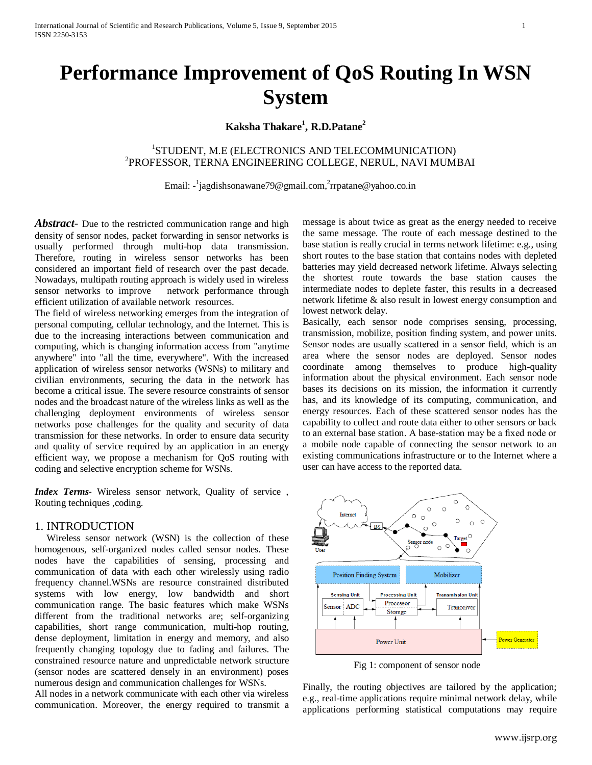# **Performance Improvement of QoS Routing In WSN System**

**Kaksha Thakare1 , R.D.Patane2**

#### **1** STUDENT, M.E (ELECTRONICS AND TELECOMMUNICATION) 2 <sup>2</sup>PROFESSOR, TERNA ENGINEERING COLLEGE, NERUL, NAVI MUMBAI

Email: - <sup>1</sup> jagdishsonawane79@gmail.com,<sup>2</sup>rrpatane@yahoo.co.in

*Abstract*- Due to the restricted communication range and high density of sensor nodes, packet forwarding in sensor networks is usually performed through multi-hop data transmission. Therefore, routing in wireless sensor networks has been considered an important field of research over the past decade. Nowadays, multipath routing approach is widely used in wireless sensor networks to improve network performance through efficient utilization of available network resources.

The field of wireless networking emerges from the integration of personal computing, cellular technology, and the Internet. This is due to the increasing interactions between communication and computing, which is changing information access from "anytime anywhere" into "all the time, everywhere". With the increased application of wireless sensor networks (WSNs) to military and civilian environments, securing the data in the network has become a critical issue. The severe resource constraints of sensor nodes and the broadcast nature of the wireless links as well as the challenging deployment environments of wireless sensor networks pose challenges for the quality and security of data transmission for these networks. In order to ensure data security and quality of service required by an application in an energy efficient way, we propose a mechanism for QoS routing with coding and selective encryption scheme for WSNs.

*Index Terms*- Wireless sensor network, Quality of service , Routing techniques ,coding.

#### 1. INTRODUCTION

 Wireless sensor network (WSN) is the collection of these homogenous, self-organized nodes called sensor nodes. These nodes have the capabilities of sensing, processing and communication of data with each other wirelessly using radio frequency channel.WSNs are resource constrained distributed systems with low energy, low bandwidth and short communication range. The basic features which make WSNs different from the traditional networks are; self-organizing capabilities, short range communication, multi-hop routing, dense deployment, limitation in energy and memory, and also frequently changing topology due to fading and failures. The constrained resource nature and unpredictable network structure (sensor nodes are scattered densely in an environment) poses numerous design and communication challenges for WSNs.

All nodes in a network communicate with each other via wireless communication. Moreover, the energy required to transmit a message is about twice as great as the energy needed to receive the same message. The route of each message destined to the base station is really crucial in terms network lifetime: e.g., using short routes to the base station that contains nodes with depleted batteries may yield decreased network lifetime. Always selecting the shortest route towards the base station causes the intermediate nodes to deplete faster, this results in a decreased network lifetime & also result in lowest energy consumption and lowest network delay.

Basically, each sensor node comprises sensing, processing, transmission, mobilize, position finding system, and power units. Sensor nodes are usually scattered in a sensor field, which is an area where the sensor nodes are deployed. Sensor nodes coordinate among themselves to produce high-quality information about the physical environment. Each sensor node bases its decisions on its mission, the information it currently has, and its knowledge of its computing, communication, and energy resources. Each of these scattered sensor nodes has the capability to collect and route data either to other sensors or back to an external base station. A base-station may be a fixed node or a mobile node capable of connecting the sensor network to an existing communications infrastructure or to the Internet where a user can have access to the reported data.



Fig 1: component of sensor node

Finally, the routing objectives are tailored by the application; e.g., real-time applications require minimal network delay, while applications performing statistical computations may require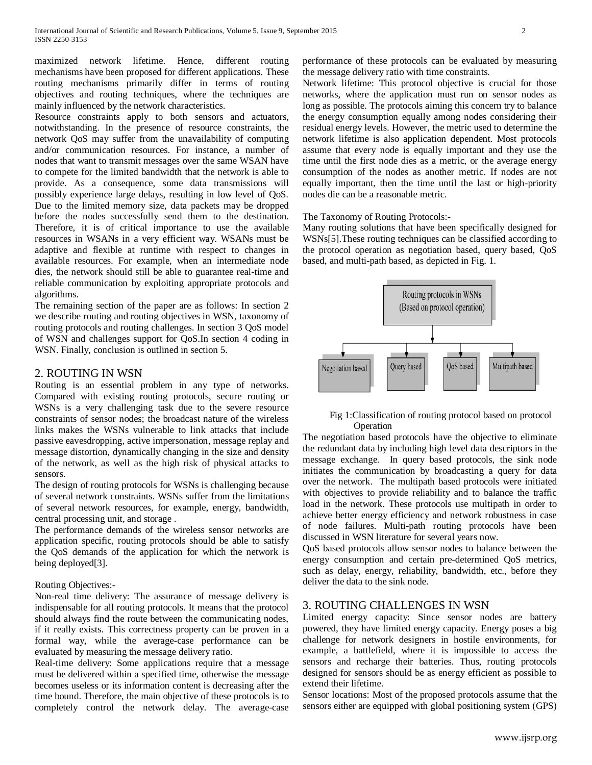maximized network lifetime. Hence, different routing mechanisms have been proposed for different applications. These routing mechanisms primarily differ in terms of routing objectives and routing techniques, where the techniques are mainly influenced by the network characteristics.

Resource constraints apply to both sensors and actuators, notwithstanding. In the presence of resource constraints, the network QoS may suffer from the unavailability of computing and/or communication resources. For instance, a number of nodes that want to transmit messages over the same WSAN have to compete for the limited bandwidth that the network is able to provide. As a consequence, some data transmissions will possibly experience large delays, resulting in low level of QoS. Due to the limited memory size, data packets may be dropped before the nodes successfully send them to the destination. Therefore, it is of critical importance to use the available resources in WSANs in a very efficient way. WSANs must be adaptive and flexible at runtime with respect to changes in available resources. For example, when an intermediate node dies, the network should still be able to guarantee real-time and reliable communication by exploiting appropriate protocols and algorithms.

The remaining section of the paper are as follows: In section 2 we describe routing and routing objectives in WSN, taxonomy of routing protocols and routing challenges. In section 3 QoS model of WSN and challenges support for QoS.In section 4 coding in WSN. Finally, conclusion is outlined in section 5.

## 2. ROUTING IN WSN

Routing is an essential problem in any type of networks. Compared with existing routing protocols, secure routing or WSNs is a very challenging task due to the severe resource constraints of sensor nodes; the broadcast nature of the wireless links makes the WSNs vulnerable to link attacks that include passive eavesdropping, active impersonation, message replay and message distortion, dynamically changing in the size and density of the network, as well as the high risk of physical attacks to sensors.

The design of routing protocols for WSNs is challenging because of several network constraints. WSNs suffer from the limitations of several network resources, for example, energy, bandwidth, central processing unit, and storage .

The performance demands of the wireless sensor networks are application specific, routing protocols should be able to satisfy the QoS demands of the application for which the network is being deployed[3].

#### Routing Objectives:-

Non-real time delivery: The assurance of message delivery is indispensable for all routing protocols. It means that the protocol should always find the route between the communicating nodes, if it really exists. This correctness property can be proven in a formal way, while the average-case performance can be evaluated by measuring the message delivery ratio.

Real-time delivery: Some applications require that a message must be delivered within a specified time, otherwise the message becomes useless or its information content is decreasing after the time bound. Therefore, the main objective of these protocols is to completely control the network delay. The average-case performance of these protocols can be evaluated by measuring the message delivery ratio with time constraints.

Network lifetime: This protocol objective is crucial for those networks, where the application must run on sensor nodes as long as possible. The protocols aiming this concern try to balance the energy consumption equally among nodes considering their residual energy levels. However, the metric used to determine the network lifetime is also application dependent. Most protocols assume that every node is equally important and they use the time until the first node dies as a metric, or the average energy consumption of the nodes as another metric. If nodes are not equally important, then the time until the last or high-priority nodes die can be a reasonable metric.

The Taxonomy of Routing Protocols:-

Many routing solutions that have been specifically designed for WSNs[5].These routing techniques can be classified according to the protocol operation as negotiation based, query based, QoS based, and multi-path based, as depicted in Fig. 1.



 Fig 1:Classification of routing protocol based on protocol Operation

The negotiation based protocols have the objective to eliminate the redundant data by including high level data descriptors in the message exchange. In query based protocols, the sink node initiates the communication by broadcasting a query for data over the network. The multipath based protocols were initiated with objectives to provide reliability and to balance the traffic load in the network. These protocols use multipath in order to achieve better energy efficiency and network robustness in case of node failures. Multi-path routing protocols have been discussed in WSN literature for several years now.

QoS based protocols allow sensor nodes to balance between the energy consumption and certain pre-determined QoS metrics, such as delay, energy, reliability, bandwidth, etc., before they deliver the data to the sink node.

## 3. ROUTING CHALLENGES IN WSN

Limited energy capacity: Since sensor nodes are battery powered, they have limited energy capacity. Energy poses a big challenge for network designers in hostile environments, for example, a battlefield, where it is impossible to access the sensors and recharge their batteries. Thus, routing protocols designed for sensors should be as energy efficient as possible to extend their lifetime.

Sensor locations: Most of the proposed protocols assume that the sensors either are equipped with global positioning system (GPS)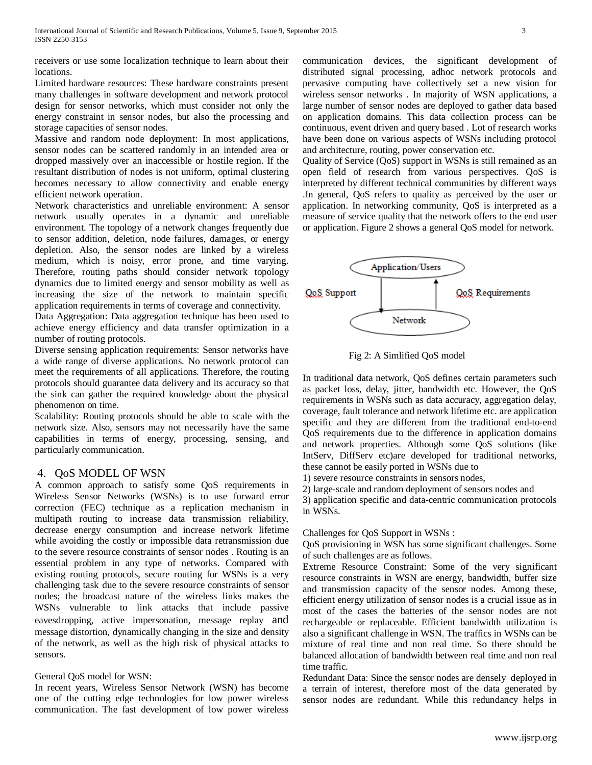receivers or use some localization technique to learn about their locations.

Limited hardware resources: These hardware constraints present many challenges in software development and network protocol design for sensor networks, which must consider not only the energy constraint in sensor nodes, but also the processing and storage capacities of sensor nodes.

Massive and random node deployment: In most applications, sensor nodes can be scattered randomly in an intended area or dropped massively over an inaccessible or hostile region. If the resultant distribution of nodes is not uniform, optimal clustering becomes necessary to allow connectivity and enable energy efficient network operation.

Network characteristics and unreliable environment: A sensor network usually operates in a dynamic and unreliable environment. The topology of a network changes frequently due to sensor addition, deletion, node failures, damages, or energy depletion. Also, the sensor nodes are linked by a wireless medium, which is noisy, error prone, and time varying. Therefore, routing paths should consider network topology dynamics due to limited energy and sensor mobility as well as increasing the size of the network to maintain specific application requirements in terms of coverage and connectivity.

Data Aggregation: Data aggregation technique has been used to achieve energy efficiency and data transfer optimization in a number of routing protocols.

Diverse sensing application requirements: Sensor networks have a wide range of diverse applications. No network protocol can meet the requirements of all applications. Therefore, the routing protocols should guarantee data delivery and its accuracy so that the sink can gather the required knowledge about the physical phenomenon on time.

Scalability: Routing protocols should be able to scale with the network size. Also, sensors may not necessarily have the same capabilities in terms of energy, processing, sensing, and particularly communication.

### 4. QoS MODEL OF WSN

A common approach to satisfy some QoS requirements in Wireless Sensor Networks (WSNs) is to use forward error correction (FEC) technique as a replication mechanism in multipath routing to increase data transmission reliability, decrease energy consumption and increase network lifetime while avoiding the costly or impossible data retransmission due to the severe resource constraints of sensor nodes . Routing is an essential problem in any type of networks. Compared with existing routing protocols, secure routing for WSNs is a very challenging task due to the severe resource constraints of sensor nodes; the broadcast nature of the wireless links makes the WSNs vulnerable to link attacks that include passive eavesdropping, active impersonation, message replay and message distortion, dynamically changing in the size and density of the network, as well as the high risk of physical attacks to sensors.

### General QoS model for WSN:

In recent years, Wireless Sensor Network (WSN) has become one of the cutting edge technologies for low power wireless communication. The fast development of low power wireless

communication devices, the significant development of distributed signal processing, adhoc network protocols and pervasive computing have collectively set a new vision for wireless sensor networks . In majority of WSN applications, a large number of sensor nodes are deployed to gather data based on application domains. This data collection process can be continuous, event driven and query based . Lot of research works have been done on various aspects of WSNs including protocol and architecture, routing, power conservation etc.

Quality of Service (QoS) support in WSNs is still remained as an open field of research from various perspectives. QoS is interpreted by different technical communities by different ways .In general, QoS refers to quality as perceived by the user or application. In networking community, QoS is interpreted as a measure of service quality that the network offers to the end user or application. Figure 2 shows a general QoS model for network.



Fig 2: A Simlified QoS model

In traditional data network, QoS defines certain parameters such as packet loss, delay, jitter, bandwidth etc. However, the QoS requirements in WSNs such as data accuracy, aggregation delay, coverage, fault tolerance and network lifetime etc. are application specific and they are different from the traditional end-to-end QoS requirements due to the difference in application domains and network properties. Although some QoS solutions (like IntServ, DiffServ etc)are developed for traditional networks, these cannot be easily ported in WSNs due to

1) severe resource constraints in sensors nodes,

2) large-scale and random deployment of sensors nodes and

3) application specific and data-centric communication protocols in WSNs.

Challenges for QoS Support in WSNs :

QoS provisioning in WSN has some significant challenges. Some of such challenges are as follows.

Extreme Resource Constraint: Some of the very significant resource constraints in WSN are energy, bandwidth, buffer size and transmission capacity of the sensor nodes. Among these, efficient energy utilization of sensor nodes is a crucial issue as in most of the cases the batteries of the sensor nodes are not rechargeable or replaceable. Efficient bandwidth utilization is also a significant challenge in WSN. The traffics in WSNs can be mixture of real time and non real time. So there should be balanced allocation of bandwidth between real time and non real time traffic.

Redundant Data: Since the sensor nodes are densely deployed in a terrain of interest, therefore most of the data generated by sensor nodes are redundant. While this redundancy helps in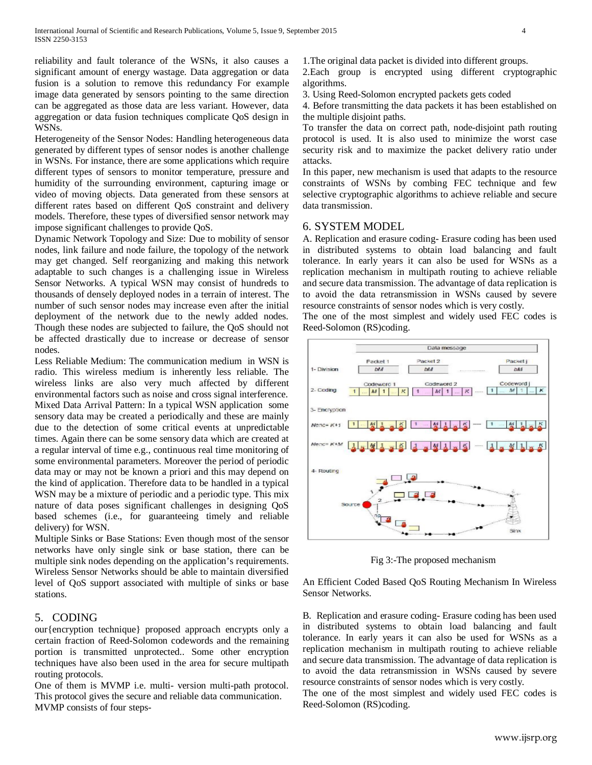reliability and fault tolerance of the WSNs, it also causes a significant amount of energy wastage. Data aggregation or data fusion is a solution to remove this redundancy For example image data generated by sensors pointing to the same direction can be aggregated as those data are less variant. However, data aggregation or data fusion techniques complicate QoS design in WSNs.

Heterogeneity of the Sensor Nodes: Handling heterogeneous data generated by different types of sensor nodes is another challenge in WSNs. For instance, there are some applications which require different types of sensors to monitor temperature, pressure and humidity of the surrounding environment, capturing image or video of moving objects. Data generated from these sensors at different rates based on different QoS constraint and delivery models. Therefore, these types of diversified sensor network may impose significant challenges to provide QoS.

Dynamic Network Topology and Size: Due to mobility of sensor nodes, link failure and node failure, the topology of the network may get changed. Self reorganizing and making this network adaptable to such changes is a challenging issue in Wireless Sensor Networks. A typical WSN may consist of hundreds to thousands of densely deployed nodes in a terrain of interest. The number of such sensor nodes may increase even after the initial deployment of the network due to the newly added nodes. Though these nodes are subjected to failure, the QoS should not be affected drastically due to increase or decrease of sensor nodes.

Less Reliable Medium: The communication medium in WSN is radio. This wireless medium is inherently less reliable. The wireless links are also very much affected by different environmental factors such as noise and cross signal interference. Mixed Data Arrival Pattern: In a typical WSN application some sensory data may be created a periodically and these are mainly due to the detection of some critical events at unpredictable times. Again there can be some sensory data which are created at a regular interval of time e.g., continuous real time monitoring of some environmental parameters. Moreover the period of periodic data may or may not be known a priori and this may depend on the kind of application. Therefore data to be handled in a typical WSN may be a mixture of periodic and a periodic type. This mix nature of data poses significant challenges in designing QoS based schemes (i.e., for guaranteeing timely and reliable delivery) for WSN.

Multiple Sinks or Base Stations: Even though most of the sensor networks have only single sink or base station, there can be multiple sink nodes depending on the application's requirements. Wireless Sensor Networks should be able to maintain diversified level of QoS support associated with multiple of sinks or base stations.

### 5. CODING

our{encryption technique} proposed approach encrypts only a certain fraction of Reed-Solomon codewords and the remaining portion is transmitted unprotected.. Some other encryption techniques have also been used in the area for secure multipath routing protocols.

One of them is MVMP i.e. multi- version multi-path protocol. This protocol gives the secure and reliable data communication. MVMP consists of four steps1.The original data packet is divided into different groups.

2.Each group is encrypted using different cryptographic algorithms.

3. Using Reed-Solomon encrypted packets gets coded

4. Before transmitting the data packets it has been established on the multiple disjoint paths.

To transfer the data on correct path, node-disjoint path routing protocol is used. It is also used to minimize the worst case security risk and to maximize the packet delivery ratio under attacks.

In this paper, new mechanism is used that adapts to the resource constraints of WSNs by combing FEC technique and few selective cryptographic algorithms to achieve reliable and secure data transmission.

#### 6. SYSTEM MODEL

A. Replication and erasure coding- Erasure coding has been used in distributed systems to obtain load balancing and fault tolerance. In early years it can also be used for WSNs as a replication mechanism in multipath routing to achieve reliable and secure data transmission. The advantage of data replication is to avoid the data retransmission in WSNs caused by severe resource constraints of sensor nodes which is very costly.

The one of the most simplest and widely used FEC codes is Reed-Solomon (RS)coding.



Fig 3:-The proposed mechanism

An Efficient Coded Based QoS Routing Mechanism In Wireless Sensor Networks.

B. Replication and erasure coding- Erasure coding has been used in distributed systems to obtain load balancing and fault tolerance. In early years it can also be used for WSNs as a replication mechanism in multipath routing to achieve reliable and secure data transmission. The advantage of data replication is to avoid the data retransmission in WSNs caused by severe resource constraints of sensor nodes which is very costly.

The one of the most simplest and widely used FEC codes is Reed-Solomon (RS)coding.